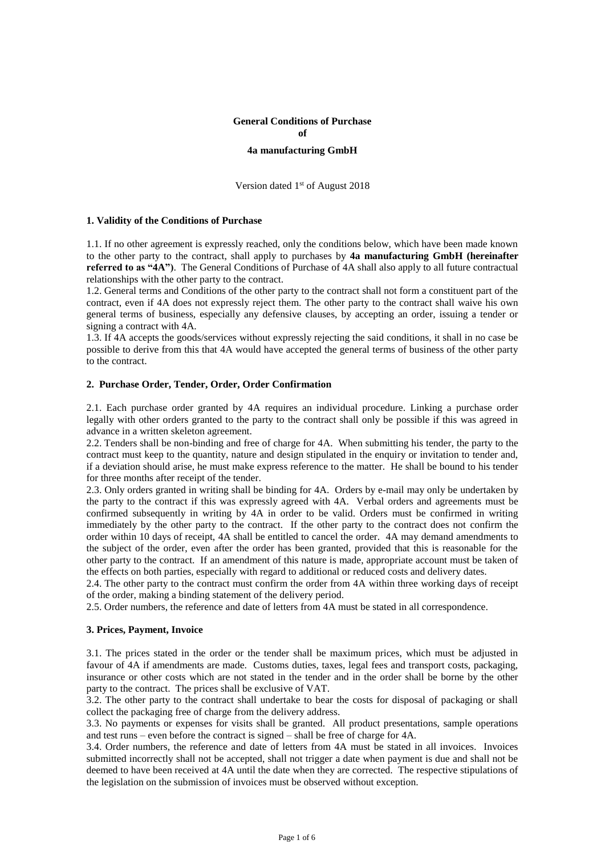# **General Conditions of Purchase of 4a manufacturing GmbH**

Version dated 1<sup>st</sup> of August 2018

#### **1. Validity of the Conditions of Purchase**

1.1. If no other agreement is expressly reached, only the conditions below, which have been made known to the other party to the contract, shall apply to purchases by **4a manufacturing GmbH (hereinafter referred to as "4A")**. The General Conditions of Purchase of 4A shall also apply to all future contractual relationships with the other party to the contract.

1.2. General terms and Conditions of the other party to the contract shall not form a constituent part of the contract, even if 4A does not expressly reject them. The other party to the contract shall waive his own general terms of business, especially any defensive clauses, by accepting an order, issuing a tender or signing a contract with 4A.

1.3. If 4A accepts the goods/services without expressly rejecting the said conditions, it shall in no case be possible to derive from this that 4A would have accepted the general terms of business of the other party to the contract.

#### **2. Purchase Order, Tender, Order, Order Confirmation**

2.1. Each purchase order granted by 4A requires an individual procedure. Linking a purchase order legally with other orders granted to the party to the contract shall only be possible if this was agreed in advance in a written skeleton agreement.

2.2. Tenders shall be non-binding and free of charge for 4A. When submitting his tender, the party to the contract must keep to the quantity, nature and design stipulated in the enquiry or invitation to tender and, if a deviation should arise, he must make express reference to the matter. He shall be bound to his tender for three months after receipt of the tender.

2.3. Only orders granted in writing shall be binding for 4A. Orders by e-mail may only be undertaken by the party to the contract if this was expressly agreed with 4A. Verbal orders and agreements must be confirmed subsequently in writing by 4A in order to be valid. Orders must be confirmed in writing immediately by the other party to the contract. If the other party to the contract does not confirm the order within 10 days of receipt, 4A shall be entitled to cancel the order. 4A may demand amendments to the subject of the order, even after the order has been granted, provided that this is reasonable for the other party to the contract. If an amendment of this nature is made, appropriate account must be taken of the effects on both parties, especially with regard to additional or reduced costs and delivery dates.

2.4. The other party to the contract must confirm the order from 4A within three working days of receipt of the order, making a binding statement of the delivery period.

2.5. Order numbers, the reference and date of letters from 4A must be stated in all correspondence.

#### **3. Prices, Payment, Invoice**

3.1. The prices stated in the order or the tender shall be maximum prices, which must be adjusted in favour of 4A if amendments are made. Customs duties, taxes, legal fees and transport costs, packaging, insurance or other costs which are not stated in the tender and in the order shall be borne by the other party to the contract. The prices shall be exclusive of VAT.

3.2. The other party to the contract shall undertake to bear the costs for disposal of packaging or shall collect the packaging free of charge from the delivery address.

3.3. No payments or expenses for visits shall be granted. All product presentations, sample operations and test runs – even before the contract is signed – shall be free of charge for 4A.

3.4. Order numbers, the reference and date of letters from 4A must be stated in all invoices. Invoices submitted incorrectly shall not be accepted, shall not trigger a date when payment is due and shall not be deemed to have been received at 4A until the date when they are corrected. The respective stipulations of the legislation on the submission of invoices must be observed without exception.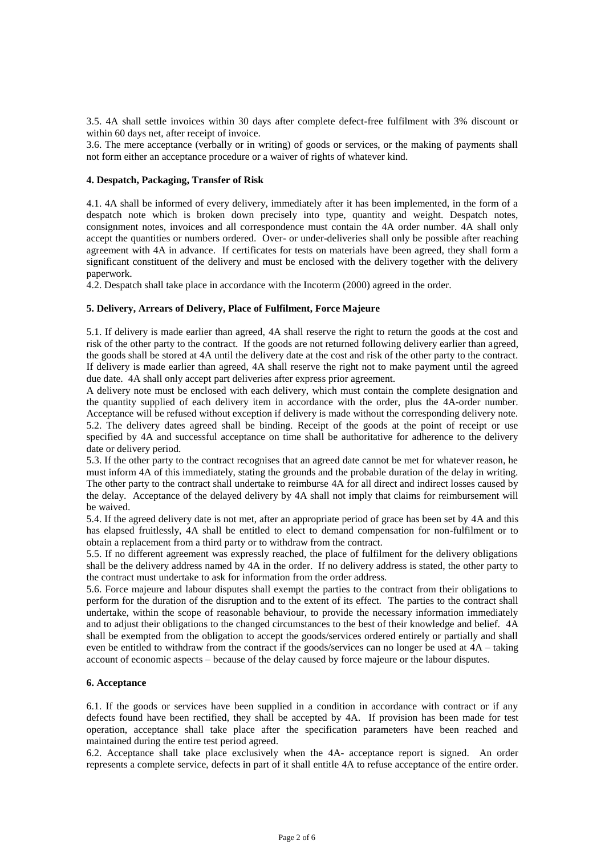3.5. 4A shall settle invoices within 30 days after complete defect-free fulfilment with 3% discount or within 60 days net, after receipt of invoice.

3.6. The mere acceptance (verbally or in writing) of goods or services, or the making of payments shall not form either an acceptance procedure or a waiver of rights of whatever kind.

#### **4. Despatch, Packaging, Transfer of Risk**

4.1. 4A shall be informed of every delivery, immediately after it has been implemented, in the form of a despatch note which is broken down precisely into type, quantity and weight. Despatch notes, consignment notes, invoices and all correspondence must contain the 4A order number. 4A shall only accept the quantities or numbers ordered. Over- or under-deliveries shall only be possible after reaching agreement with 4A in advance. If certificates for tests on materials have been agreed, they shall form a significant constituent of the delivery and must be enclosed with the delivery together with the delivery paperwork.

4.2. Despatch shall take place in accordance with the Incoterm (2000) agreed in the order.

## **5. Delivery, Arrears of Delivery, Place of Fulfilment, Force Majeure**

5.1. If delivery is made earlier than agreed, 4A shall reserve the right to return the goods at the cost and risk of the other party to the contract. If the goods are not returned following delivery earlier than agreed, the goods shall be stored at 4A until the delivery date at the cost and risk of the other party to the contract. If delivery is made earlier than agreed, 4A shall reserve the right not to make payment until the agreed due date. 4A shall only accept part deliveries after express prior agreement.

A delivery note must be enclosed with each delivery, which must contain the complete designation and the quantity supplied of each delivery item in accordance with the order, plus the 4A-order number. Acceptance will be refused without exception if delivery is made without the corresponding delivery note. 5.2. The delivery dates agreed shall be binding. Receipt of the goods at the point of receipt or use specified by 4A and successful acceptance on time shall be authoritative for adherence to the delivery date or delivery period.

5.3. If the other party to the contract recognises that an agreed date cannot be met for whatever reason, he must inform 4A of this immediately, stating the grounds and the probable duration of the delay in writing. The other party to the contract shall undertake to reimburse 4A for all direct and indirect losses caused by the delay. Acceptance of the delayed delivery by 4A shall not imply that claims for reimbursement will be waived.

5.4. If the agreed delivery date is not met, after an appropriate period of grace has been set by 4A and this has elapsed fruitlessly, 4A shall be entitled to elect to demand compensation for non-fulfilment or to obtain a replacement from a third party or to withdraw from the contract.

5.5. If no different agreement was expressly reached, the place of fulfilment for the delivery obligations shall be the delivery address named by 4A in the order. If no delivery address is stated, the other party to the contract must undertake to ask for information from the order address.

5.6. Force majeure and labour disputes shall exempt the parties to the contract from their obligations to perform for the duration of the disruption and to the extent of its effect. The parties to the contract shall undertake, within the scope of reasonable behaviour, to provide the necessary information immediately and to adjust their obligations to the changed circumstances to the best of their knowledge and belief. 4A shall be exempted from the obligation to accept the goods/services ordered entirely or partially and shall even be entitled to withdraw from the contract if the goods/services can no longer be used at 4A – taking account of economic aspects – because of the delay caused by force majeure or the labour disputes.

## **6. Acceptance**

6.1. If the goods or services have been supplied in a condition in accordance with contract or if any defects found have been rectified, they shall be accepted by 4A. If provision has been made for test operation, acceptance shall take place after the specification parameters have been reached and maintained during the entire test period agreed.

6.2. Acceptance shall take place exclusively when the 4A- acceptance report is signed. An order represents a complete service, defects in part of it shall entitle 4A to refuse acceptance of the entire order.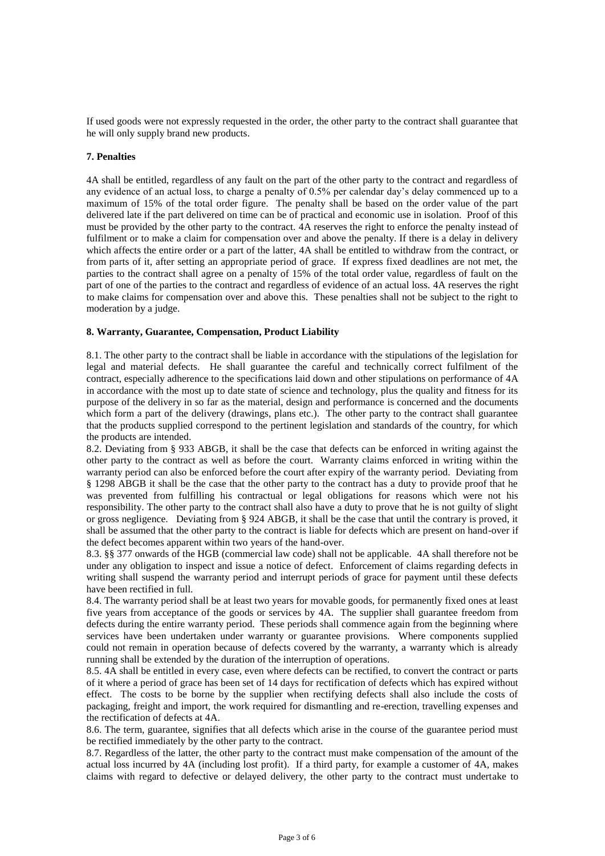If used goods were not expressly requested in the order, the other party to the contract shall guarantee that he will only supply brand new products.

## **7. Penalties**

4A shall be entitled, regardless of any fault on the part of the other party to the contract and regardless of any evidence of an actual loss, to charge a penalty of 0.5% per calendar day's delay commenced up to a maximum of 15% of the total order figure. The penalty shall be based on the order value of the part delivered late if the part delivered on time can be of practical and economic use in isolation. Proof of this must be provided by the other party to the contract. 4A reserves the right to enforce the penalty instead of fulfilment or to make a claim for compensation over and above the penalty. If there is a delay in delivery which affects the entire order or a part of the latter, 4A shall be entitled to withdraw from the contract, or from parts of it, after setting an appropriate period of grace. If express fixed deadlines are not met, the parties to the contract shall agree on a penalty of 15% of the total order value, regardless of fault on the part of one of the parties to the contract and regardless of evidence of an actual loss. 4A reserves the right to make claims for compensation over and above this. These penalties shall not be subject to the right to moderation by a judge.

## **8. Warranty, Guarantee, Compensation, Product Liability**

8.1. The other party to the contract shall be liable in accordance with the stipulations of the legislation for legal and material defects. He shall guarantee the careful and technically correct fulfilment of the contract, especially adherence to the specifications laid down and other stipulations on performance of 4A in accordance with the most up to date state of science and technology, plus the quality and fitness for its purpose of the delivery in so far as the material, design and performance is concerned and the documents which form a part of the delivery (drawings, plans etc.). The other party to the contract shall guarantee that the products supplied correspond to the pertinent legislation and standards of the country, for which the products are intended.

8.2. Deviating from § 933 ABGB, it shall be the case that defects can be enforced in writing against the other party to the contract as well as before the court. Warranty claims enforced in writing within the warranty period can also be enforced before the court after expiry of the warranty period. Deviating from § 1298 ABGB it shall be the case that the other party to the contract has a duty to provide proof that he was prevented from fulfilling his contractual or legal obligations for reasons which were not his responsibility. The other party to the contract shall also have a duty to prove that he is not guilty of slight or gross negligence. Deviating from § 924 ABGB, it shall be the case that until the contrary is proved, it shall be assumed that the other party to the contract is liable for defects which are present on hand-over if the defect becomes apparent within two years of the hand-over.

8.3. §§ 377 onwards of the HGB (commercial law code) shall not be applicable. 4A shall therefore not be under any obligation to inspect and issue a notice of defect. Enforcement of claims regarding defects in writing shall suspend the warranty period and interrupt periods of grace for payment until these defects have been rectified in full.

8.4. The warranty period shall be at least two years for movable goods, for permanently fixed ones at least five years from acceptance of the goods or services by 4A. The supplier shall guarantee freedom from defects during the entire warranty period. These periods shall commence again from the beginning where services have been undertaken under warranty or guarantee provisions. Where components supplied could not remain in operation because of defects covered by the warranty, a warranty which is already running shall be extended by the duration of the interruption of operations.

8.5. 4A shall be entitled in every case, even where defects can be rectified, to convert the contract or parts of it where a period of grace has been set of 14 days for rectification of defects which has expired without effect. The costs to be borne by the supplier when rectifying defects shall also include the costs of packaging, freight and import, the work required for dismantling and re-erection, travelling expenses and the rectification of defects at 4A.

8.6. The term, guarantee, signifies that all defects which arise in the course of the guarantee period must be rectified immediately by the other party to the contract.

8.7. Regardless of the latter, the other party to the contract must make compensation of the amount of the actual loss incurred by 4A (including lost profit). If a third party, for example a customer of 4A, makes claims with regard to defective or delayed delivery, the other party to the contract must undertake to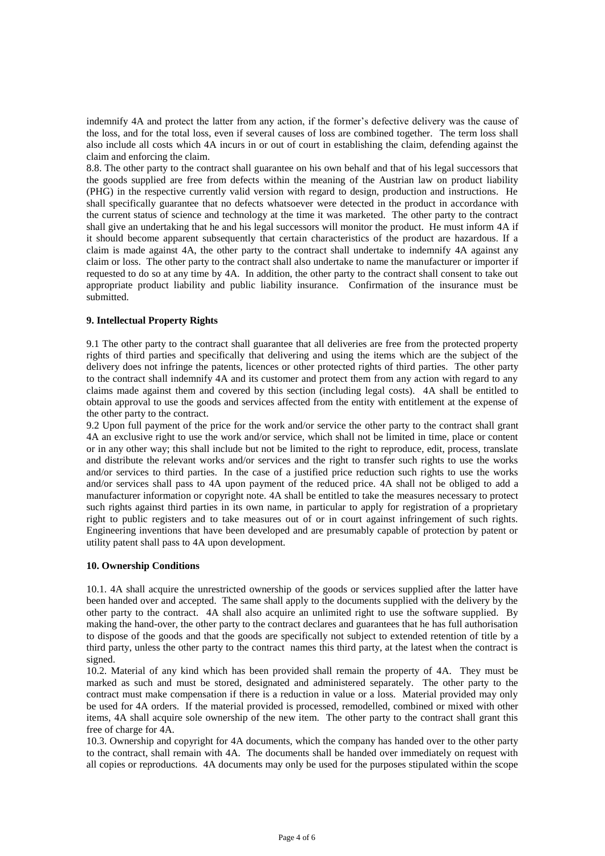indemnify 4A and protect the latter from any action, if the former's defective delivery was the cause of the loss, and for the total loss, even if several causes of loss are combined together. The term loss shall also include all costs which 4A incurs in or out of court in establishing the claim, defending against the claim and enforcing the claim.

8.8. The other party to the contract shall guarantee on his own behalf and that of his legal successors that the goods supplied are free from defects within the meaning of the Austrian law on product liability (PHG) in the respective currently valid version with regard to design, production and instructions. He shall specifically guarantee that no defects whatsoever were detected in the product in accordance with the current status of science and technology at the time it was marketed. The other party to the contract shall give an undertaking that he and his legal successors will monitor the product. He must inform 4A if it should become apparent subsequently that certain characteristics of the product are hazardous. If a claim is made against 4A, the other party to the contract shall undertake to indemnify 4A against any claim or loss. The other party to the contract shall also undertake to name the manufacturer or importer if requested to do so at any time by 4A. In addition, the other party to the contract shall consent to take out appropriate product liability and public liability insurance. Confirmation of the insurance must be submitted.

# **9. Intellectual Property Rights**

9.1 The other party to the contract shall guarantee that all deliveries are free from the protected property rights of third parties and specifically that delivering and using the items which are the subject of the delivery does not infringe the patents, licences or other protected rights of third parties. The other party to the contract shall indemnify 4A and its customer and protect them from any action with regard to any claims made against them and covered by this section (including legal costs). 4A shall be entitled to obtain approval to use the goods and services affected from the entity with entitlement at the expense of the other party to the contract.

9.2 Upon full payment of the price for the work and/or service the other party to the contract shall grant 4A an exclusive right to use the work and/or service, which shall not be limited in time, place or content or in any other way; this shall include but not be limited to the right to reproduce, edit, process, translate and distribute the relevant works and/or services and the right to transfer such rights to use the works and/or services to third parties. In the case of a justified price reduction such rights to use the works and/or services shall pass to 4A upon payment of the reduced price. 4A shall not be obliged to add a manufacturer information or copyright note. 4A shall be entitled to take the measures necessary to protect such rights against third parties in its own name, in particular to apply for registration of a proprietary right to public registers and to take measures out of or in court against infringement of such rights. Engineering inventions that have been developed and are presumably capable of protection by patent or utility patent shall pass to 4A upon development.

# **10. Ownership Conditions**

10.1. 4A shall acquire the unrestricted ownership of the goods or services supplied after the latter have been handed over and accepted. The same shall apply to the documents supplied with the delivery by the other party to the contract. 4A shall also acquire an unlimited right to use the software supplied. By making the hand-over, the other party to the contract declares and guarantees that he has full authorisation to dispose of the goods and that the goods are specifically not subject to extended retention of title by a third party, unless the other party to the contract names this third party, at the latest when the contract is signed.

10.2. Material of any kind which has been provided shall remain the property of 4A. They must be marked as such and must be stored, designated and administered separately. The other party to the contract must make compensation if there is a reduction in value or a loss. Material provided may only be used for 4A orders. If the material provided is processed, remodelled, combined or mixed with other items, 4A shall acquire sole ownership of the new item. The other party to the contract shall grant this free of charge for 4A.

10.3. Ownership and copyright for 4A documents, which the company has handed over to the other party to the contract, shall remain with 4A. The documents shall be handed over immediately on request with all copies or reproductions. 4A documents may only be used for the purposes stipulated within the scope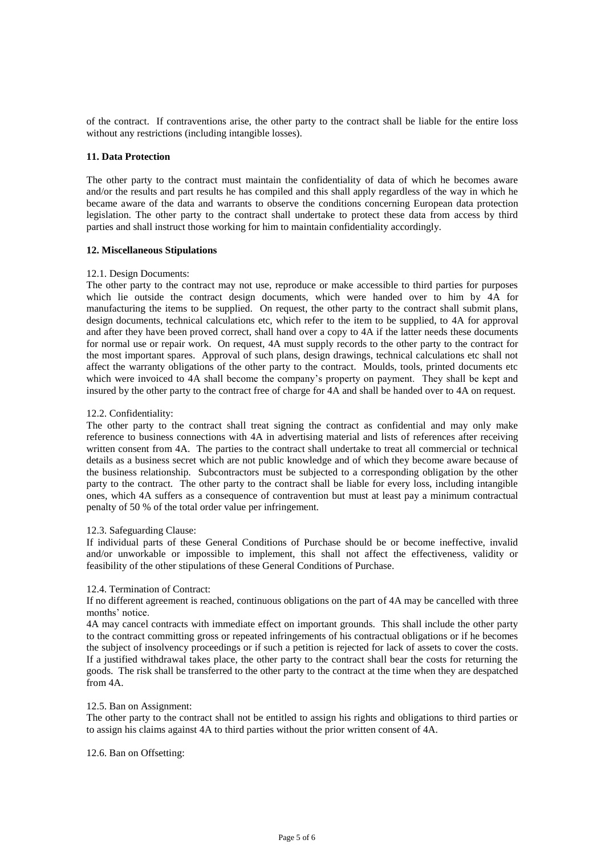of the contract. If contraventions arise, the other party to the contract shall be liable for the entire loss without any restrictions (including intangible losses).

## **11. Data Protection**

The other party to the contract must maintain the confidentiality of data of which he becomes aware and/or the results and part results he has compiled and this shall apply regardless of the way in which he became aware of the data and warrants to observe the conditions concerning European data protection legislation. The other party to the contract shall undertake to protect these data from access by third parties and shall instruct those working for him to maintain confidentiality accordingly.

## **12. Miscellaneous Stipulations**

#### 12.1. Design Documents:

The other party to the contract may not use, reproduce or make accessible to third parties for purposes which lie outside the contract design documents, which were handed over to him by 4A for manufacturing the items to be supplied. On request, the other party to the contract shall submit plans, design documents, technical calculations etc, which refer to the item to be supplied, to 4A for approval and after they have been proved correct, shall hand over a copy to 4A if the latter needs these documents for normal use or repair work. On request, 4A must supply records to the other party to the contract for the most important spares. Approval of such plans, design drawings, technical calculations etc shall not affect the warranty obligations of the other party to the contract. Moulds, tools, printed documents etc which were invoiced to 4A shall become the company's property on payment. They shall be kept and insured by the other party to the contract free of charge for 4A and shall be handed over to 4A on request.

## 12.2. Confidentiality:

The other party to the contract shall treat signing the contract as confidential and may only make reference to business connections with 4A in advertising material and lists of references after receiving written consent from 4A. The parties to the contract shall undertake to treat all commercial or technical details as a business secret which are not public knowledge and of which they become aware because of the business relationship. Subcontractors must be subjected to a corresponding obligation by the other party to the contract. The other party to the contract shall be liable for every loss, including intangible ones, which 4A suffers as a consequence of contravention but must at least pay a minimum contractual penalty of 50 % of the total order value per infringement.

#### 12.3. Safeguarding Clause:

If individual parts of these General Conditions of Purchase should be or become ineffective, invalid and/or unworkable or impossible to implement, this shall not affect the effectiveness, validity or feasibility of the other stipulations of these General Conditions of Purchase.

#### 12.4. Termination of Contract:

If no different agreement is reached, continuous obligations on the part of 4A may be cancelled with three months' notice.

4A may cancel contracts with immediate effect on important grounds. This shall include the other party to the contract committing gross or repeated infringements of his contractual obligations or if he becomes the subject of insolvency proceedings or if such a petition is rejected for lack of assets to cover the costs. If a justified withdrawal takes place, the other party to the contract shall bear the costs for returning the goods. The risk shall be transferred to the other party to the contract at the time when they are despatched from 4A.

#### 12.5. Ban on Assignment:

The other party to the contract shall not be entitled to assign his rights and obligations to third parties or to assign his claims against 4A to third parties without the prior written consent of 4A.

#### 12.6. Ban on Offsetting: